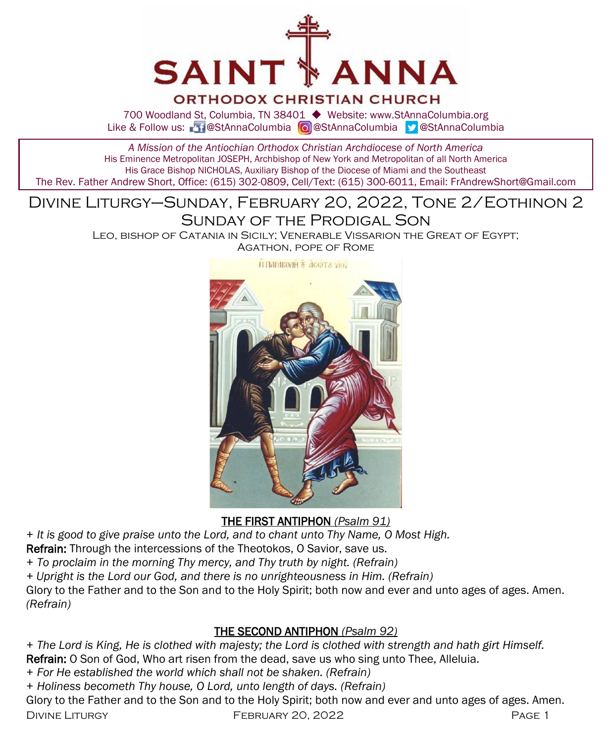

## **ORTHODOX CHRISTIAN CHURCH**

700 Woodland St, Columbia, TN 38401 ◆ Website: www.StAnnaColumbia.org Like & Follow us: 20 @StAnnaColumbia **@**StAnnaColumbia **@StAnnaColumbia** 

#### *A Mission of the Antiochian Orthodox Christian Archdiocese of North America* His Eminence Metropolitan JOSEPH, Archbishop of New York and Metropolitan of all North America His Grace Bishop NICHOLAS, Auxiliary Bishop of the Diocese of Miami and the Southeast The Rev. Father Andrew Short, Office: (615) 302-0809, Cell/Text: (615) 300-6011, Email: FrAndrewShort@Gmail.com

# Divine Liturgy–Sunday, February 20, 2022, Tone 2/Eothinon 2 Sunday of the Prodigal Son

Leo, bishop of Catania in Sicily; Venerable Vissarion the Great of Egypt; Agathon, pope of Rome



THE FIRST ANTIPHON *(Psalm 91)*

*+ It is good to give praise unto the Lord, and to chant unto Thy Name, O Most High.*

Refrain: Through the intercessions of the Theotokos, O Savior, save us.

*+ To proclaim in the morning Thy mercy, and Thy truth by night. (Refrain)*

*+ Upright is the Lord our God, and there is no unrighteousness in Him. (Refrain)*

Glory to the Father and to the Son and to the Holy Spirit; both now and ever and unto ages of ages. Amen. *(Refrain)*

## THE SECOND ANTIPHON *(Psalm 92)*

*+ The Lord is King, He is clothed with majesty; the Lord is clothed with strength and hath girt Himself.* Refrain: O Son of God, Who art risen from the dead, save us who sing unto Thee, Alleluia.

*+ For He established the world which shall not be shaken. (Refrain)*

*+ Holiness becometh Thy house, O Lord, unto length of days. (Refrain)*

Glory to the Father and to the Son and to the Holy Spirit; both now and ever and unto ages of ages. Amen.

DIVINE LITURGY **FEBRUARY 20, 2022** PAGE 1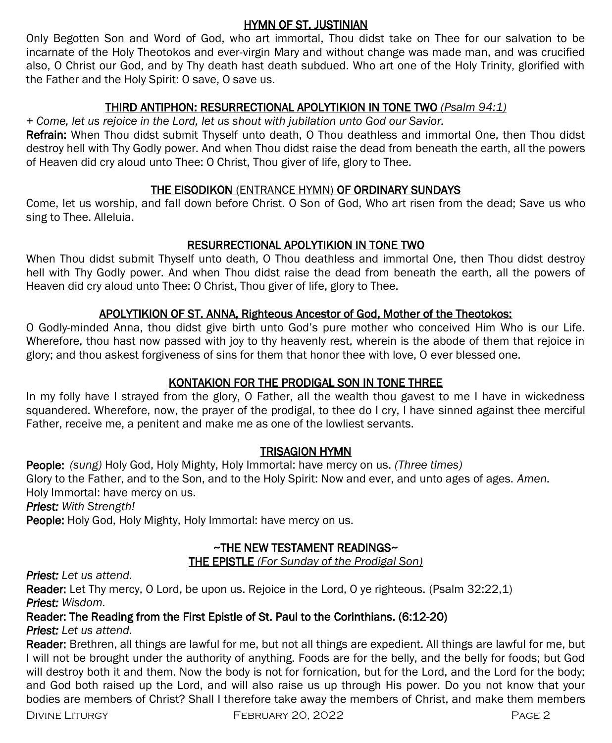## HYMN OF ST. JUSTINIAN

Only Begotten Son and Word of God, who art immortal, Thou didst take on Thee for our salvation to be incarnate of the Holy Theotokos and ever-virgin Mary and without change was made man, and was crucified also, O Christ our God, and by Thy death hast death subdued. Who art one of the Holy Trinity, glorified with the Father and the Holy Spirit: O save, O save us.

## THIRD ANTIPHON: RESURRECTIONAL APOLYTIKION IN TONE TWO *(Psalm 94:1)*

*+ Come, let us rejoice in the Lord, let us shout with jubilation unto God our Savior.* 

Refrain: When Thou didst submit Thyself unto death, O Thou deathless and immortal One, then Thou didst destroy hell with Thy Godly power. And when Thou didst raise the dead from beneath the earth, all the powers of Heaven did cry aloud unto Thee: O Christ, Thou giver of life, glory to Thee.

# THE EISODIKON (ENTRANCE HYMN) OF ORDINARY SUNDAYS

Come, let us worship, and fall down before Christ. O Son of God, Who art risen from the dead; Save us who sing to Thee. Alleluia.

# RESURRECTIONAL APOLYTIKION IN TONE TWO

When Thou didst submit Thyself unto death, O Thou deathless and immortal One, then Thou didst destroy hell with Thy Godly power. And when Thou didst raise the dead from beneath the earth, all the powers of Heaven did cry aloud unto Thee: O Christ, Thou giver of life, glory to Thee.

# APOLYTIKION OF ST. ANNA, Righteous Ancestor of God, Mother of the Theotokos:

O Godly-minded Anna, thou didst give birth unto God's pure mother who conceived Him Who is our Life. Wherefore, thou hast now passed with joy to thy heavenly rest, wherein is the abode of them that rejoice in glory; and thou askest forgiveness of sins for them that honor thee with love, O ever blessed one.

# KONTAKION FOR THE PRODIGAL SON IN TONE THREE

In my folly have I strayed from the glory, O Father, all the wealth thou gavest to me I have in wickedness squandered. Wherefore, now, the prayer of the prodigal, to thee do I cry, I have sinned against thee merciful Father, receive me, a penitent and make me as one of the lowliest servants.

# TRISAGION HYMN

People: *(sung)* Holy God, Holy Mighty, Holy Immortal: have mercy on us. *(Three times)*  Glory to the Father, and to the Son, and to the Holy Spirit: Now and ever, and unto ages of ages. *Amen.*  Holy Immortal: have mercy on us.

*Priest: With Strength!*

People: Holy God, Holy Mighty, Holy Immortal: have mercy on us.

# ~THE NEW TESTAMENT READINGS~

THE EPISTLE *(For Sunday of the Prodigal Son)* 

# *Priest: Let us attend.*

Reader: Let Thy mercy, O Lord, be upon us. Rejoice in the Lord, O ye righteous. (Psalm 32:22,1) *Priest: Wisdom.*

# Reader: The Reading from the First Epistle of St. Paul to the Corinthians. (6:12-20)

# *Priest: Let us attend.*

Reader: Brethren, all things are lawful for me, but not all things are expedient. All things are lawful for me, but I will not be brought under the authority of anything. Foods are for the belly, and the belly for foods; but God will destroy both it and them. Now the body is not for fornication, but for the Lord, and the Lord for the body; and God both raised up the Lord, and will also raise us up through His power. Do you not know that your bodies are members of Christ? Shall I therefore take away the members of Christ, and make them members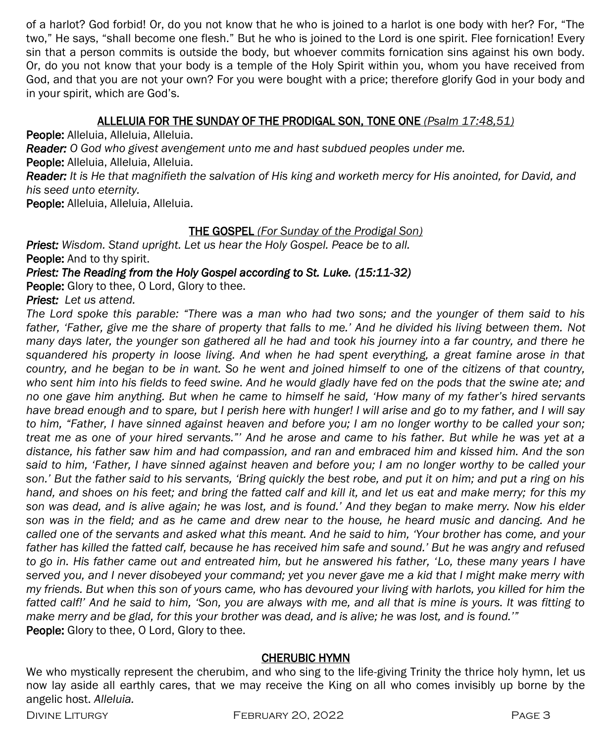of a harlot? God forbid! Or, do you not know that he who is joined to a harlot is one body with her? For, "The two," He says, "shall become one flesh." But he who is joined to the Lord is one spirit. Flee fornication! Every sin that a person commits is outside the body, but whoever commits fornication sins against his own body. Or, do you not know that your body is a temple of the Holy Spirit within you, whom you have received from God, and that you are not your own? For you were bought with a price; therefore glorify God in your body and in your spirit, which are God's.

## ALLELUIA FOR THE SUNDAY OF THE PRODIGAL SON, TONE ONE *(Psalm 17:48,51)*

People: Alleluia, Alleluia, Alleluia.

*Reader: O God who givest avengement unto me and hast subdued peoples under me.*

People: Alleluia, Alleluia, Alleluia.

*Reader: It is He that magnifieth the salvation of His king and worketh mercy for His anointed, for David, and his seed unto eternity.*

People: Alleluia, Alleluia, Alleluia.

## THE GOSPEL *(For Sunday of the Prodigal Son)*

*Priest: Wisdom. Stand upright. Let us hear the Holy Gospel. Peace be to all.* People: And to thy spirit.

## *Priest: The Reading from the Holy Gospel according to St. Luke. (15:11-32)*

People: Glory to thee, O Lord, Glory to thee.

## *Priest: Let us attend.*

*The Lord spoke this parable: "There was a man who had two sons; and the younger of them said to his father, 'Father, give me the share of property that falls to me.' And he divided his living between them. Not many days later, the younger son gathered all he had and took his journey into a far country, and there he squandered his property in loose living. And when he had spent everything, a great famine arose in that country, and he began to be in want. So he went and joined himself to one of the citizens of that country,*  who sent him into his fields to feed swine. And he would gladly have fed on the pods that the swine ate; and *no one gave him anything. But when he came to himself he said, 'How many of my father's hired servants have bread enough and to spare, but I perish here with hunger! I will arise and go to my father, and I will say to him, "Father, I have sinned against heaven and before you; I am no longer worthy to be called your son; treat me as one of your hired servants."' And he arose and came to his father. But while he was yet at a distance, his father saw him and had compassion, and ran and embraced him and kissed him. And the son said to him, 'Father, I have sinned against heaven and before you; I am no longer worthy to be called your*  son.' But the father said to his servants, 'Bring quickly the best robe, and put it on him; and put a ring on his *hand, and shoes on his feet; and bring the fatted calf and kill it, and let us eat and make merry; for this my son was dead, and is alive again; he was lost, and is found.' And they began to make merry. Now his elder son was in the field; and as he came and drew near to the house, he heard music and dancing. And he called one of the servants and asked what this meant. And he said to him, 'Your brother has come, and your father has killed the fatted calf, because he has received him safe and sound.' But he was angry and refused to go in. His father came out and entreated him, but he answered his father, 'Lo, these many years I have served you, and I never disobeyed your command; yet you never gave me a kid that I might make merry with my friends. But when this son of yours came, who has devoured your living with harlots, you killed for him the fatted calf!' And he said to him, 'Son, you are always with me, and all that is mine is yours. It was fitting to make merry and be glad, for this your brother was dead, and is alive; he was lost, and is found.'"* People: Glory to thee, O Lord, Glory to thee.

#### CHERUBIC HYMN

We who mystically represent the cherubim, and who sing to the life-giving Trinity the thrice holy hymn, let us now lay aside all earthly cares, that we may receive the King on all who comes invisibly up borne by the angelic host. *Alleluia.*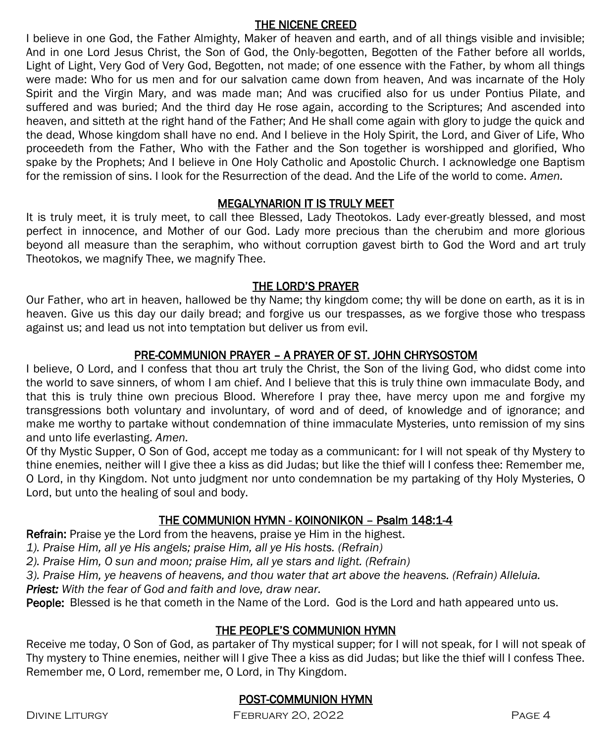### THE NICENE CREED

I believe in one God, the Father Almighty, Maker of heaven and earth, and of all things visible and invisible; And in one Lord Jesus Christ, the Son of God, the Only-begotten, Begotten of the Father before all worlds, Light of Light, Very God of Very God, Begotten, not made; of one essence with the Father, by whom all things were made: Who for us men and for our salvation came down from heaven, And was incarnate of the Holy Spirit and the Virgin Mary, and was made man; And was crucified also for us under Pontius Pilate, and suffered and was buried; And the third day He rose again, according to the Scriptures; And ascended into heaven, and sitteth at the right hand of the Father; And He shall come again with glory to judge the quick and the dead, Whose kingdom shall have no end. And I believe in the Holy Spirit, the Lord, and Giver of Life, Who proceedeth from the Father, Who with the Father and the Son together is worshipped and glorified, Who spake by the Prophets; And I believe in One Holy Catholic and Apostolic Church. I acknowledge one Baptism for the remission of sins. I look for the Resurrection of the dead. And the Life of the world to come. *Amen.*

## MEGALYNARION IT IS TRULY MEET

It is truly meet, it is truly meet, to call thee Blessed, Lady Theotokos. Lady ever-greatly blessed, and most perfect in innocence, and Mother of our God. Lady more precious than the cherubim and more glorious beyond all measure than the seraphim, who without corruption gavest birth to God the Word and art truly Theotokos, we magnify Thee, we magnify Thee.

### THE LORD'S PRAYER

Our Father, who art in heaven, hallowed be thy Name; thy kingdom come; thy will be done on earth, as it is in heaven. Give us this day our daily bread; and forgive us our trespasses, as we forgive those who trespass against us; and lead us not into temptation but deliver us from evil.

## PRE-COMMUNION PRAYER – A PRAYER OF ST. JOHN CHRYSOSTOM

I believe, O Lord, and I confess that thou art truly the Christ, the Son of the living God, who didst come into the world to save sinners, of whom I am chief. And I believe that this is truly thine own immaculate Body, and that this is truly thine own precious Blood. Wherefore I pray thee, have mercy upon me and forgive my transgressions both voluntary and involuntary, of word and of deed, of knowledge and of ignorance; and make me worthy to partake without condemnation of thine immaculate Mysteries, unto remission of my sins and unto life everlasting. *Amen.*

Of thy Mystic Supper, O Son of God, accept me today as a communicant: for I will not speak of thy Mystery to thine enemies, neither will I give thee a kiss as did Judas; but like the thief will I confess thee: Remember me, O Lord, in thy Kingdom. Not unto judgment nor unto condemnation be my partaking of thy Holy Mysteries, O Lord, but unto the healing of soul and body.

### THE COMMUNION HYMN - KOINONIKON – Psalm 148:1-4

Refrain: Praise ye the Lord from the heavens, praise ye Him in the highest.

*1). Praise Him, all ye His angels; praise Him, all ye His hosts. (Refrain)*

*2). Praise Him, O sun and moon; praise Him, all ye stars and light. (Refrain)*

*3). Praise Him, ye heavens of heavens, and thou water that art above the heavens. (Refrain) Alleluia.* 

*Priest: With the fear of God and faith and love, draw near.*

People: Blessed is he that cometh in the Name of the Lord. God is the Lord and hath appeared unto us.

## THE PEOPLE'S COMMUNION HYMN

Receive me today, O Son of God, as partaker of Thy mystical supper; for I will not speak, for I will not speak of Thy mystery to Thine enemies, neither will I give Thee a kiss as did Judas; but like the thief will I confess Thee. Remember me, O Lord, remember me, O Lord, in Thy Kingdom.

## POST-COMMUNION HYMN

Divine Liturgy February 20, 2022 Page 4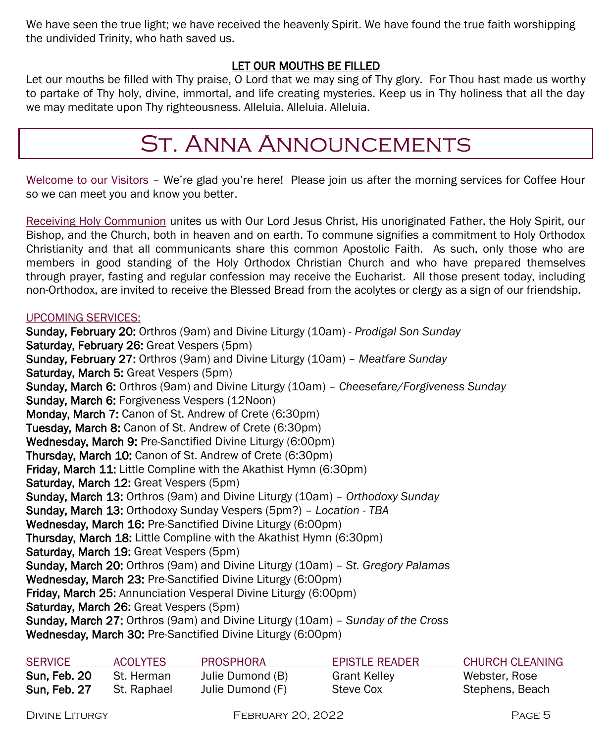We have seen the true light; we have received the heavenly Spirit. We have found the true faith worshipping the undivided Trinity, who hath saved us.

# LET OUR MOUTHS BE FILLED

Let our mouths be filled with Thy praise, O Lord that we may sing of Thy glory. For Thou hast made us worthy to partake of Thy holy, divine, immortal, and life creating mysteries. Keep us in Thy holiness that all the day we may meditate upon Thy righteousness. Alleluia. Alleluia. Alleluia.

# St. Anna Announcements

Welcome to our Visitors – We're glad you're here! Please join us after the morning services for Coffee Hour so we can meet you and know you better.

Receiving Holy Communion unites us with Our Lord Jesus Christ, His unoriginated Father, the Holy Spirit, our Bishop, and the Church, both in heaven and on earth. To commune signifies a commitment to Holy Orthodox Christianity and that all communicants share this common Apostolic Faith. As such, only those who are members in good standing of the Holy Orthodox Christian Church and who have prepared themselves through prayer, fasting and regular confession may receive the Eucharist. All those present today, including non-Orthodox, are invited to receive the Blessed Bread from the acolytes or clergy as a sign of our friendship.

### UPCOMING SERVICES:

Sunday, February 20: Orthros (9am) and Divine Liturgy (10am) - *Prodigal Son Sunday* Saturday, February 26: Great Vespers (5pm) Sunday, February 27: Orthros (9am) and Divine Liturgy (10am) – *Meatfare Sunday* Saturday, March 5: Great Vespers (5pm) Sunday, March 6: Orthros (9am) and Divine Liturgy (10am) – *Cheesefare/Forgiveness Sunday* Sunday, March 6: Forgiveness Vespers (12Noon) Monday, March 7: Canon of St. Andrew of Crete (6:30pm) Tuesday, March 8: Canon of St. Andrew of Crete (6:30pm) Wednesday, March 9: Pre-Sanctified Divine Liturgy (6:00pm) Thursday, March 10: Canon of St. Andrew of Crete (6:30pm) **Friday, March 11:** Little Compline with the Akathist Hymn (6:30pm) Saturday, March 12: Great Vespers (5pm) Sunday, March 13: Orthros (9am) and Divine Liturgy (10am) – *Orthodoxy Sunday* Sunday, March 13: Orthodoxy Sunday Vespers (5pm?) – *Location - TBA* Wednesday, March 16: Pre-Sanctified Divine Liturgy (6:00pm) Thursday, March 18: Little Compline with the Akathist Hymn (6:30pm) Saturday, March 19: Great Vespers (5pm) Sunday, March 20: Orthros (9am) and Divine Liturgy (10am) – *St. Gregory Palamas* Wednesday, March 23: Pre-Sanctified Divine Liturgy (6:00pm) Friday, March 25: Annunciation Vesperal Divine Liturgy (6:00pm) Saturday, March 26: Great Vespers (5pm) Sunday, March 27: Orthros (9am) and Divine Liturgy (10am) – *Sunday of the Cross* Wednesday, March 30: Pre-Sanctified Divine Liturgy (6:00pm)

| <b>SERVICE</b> | <b>ACOLYTES</b> | <b>PROSPHORA</b> | EPISTLE READER | CHURCH CLEANING |
|----------------|-----------------|------------------|----------------|-----------------|
| Sun. Feb. 20   | St. Herman      | Julie Dumond (B) | Grant Kelley   | Webster, Rose   |
| Sun, Feb. 27   | St. Raphael     | Julie Dumond (F) | Steve Cox      | Stephens, Beach |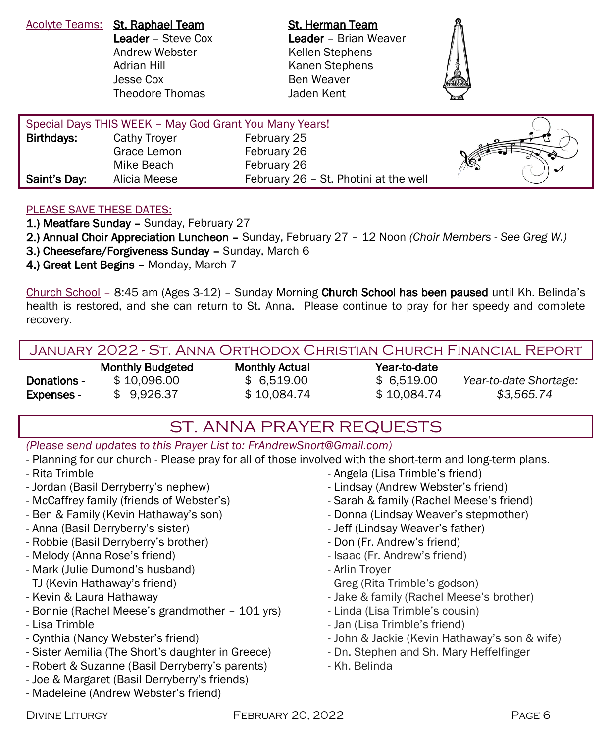Acolyte Teams: St. Raphael Team St. Herman Team Andrew Webster **Kellen Stephens** Adrian Hill Kanen Stephens Jesse Cox Ben Weaver Theodore Thomas Jaden Kent

Leader – Steve Cox Leader – Brian Weaver



| Special Days THIS WEEK - May God Grant You Many Years! |              |                                       |  |
|--------------------------------------------------------|--------------|---------------------------------------|--|
| Birthdays:                                             | Cathy Troyer | February 25                           |  |
|                                                        | Grace Lemon  | February 26                           |  |
|                                                        | Mike Beach   | February 26                           |  |
| Saint's Day:                                           | Alicia Meese | February 26 - St. Photini at the well |  |
|                                                        |              |                                       |  |

#### PLEASE SAVE THESE DATES:

1.) Meatfare Sunday - Sunday, February 27

2.) Annual Choir Appreciation Luncheon – Sunday, February 27 – 12 Noon *(Choir Members - See Greg W.)*

- 3.) Cheesefare/Forgiveness Sunday Sunday, March 6
- 4.) Great Lent Begins Monday, March 7

Church School – 8:45 am (Ages 3-12) – Sunday Morning Church School has been paused until Kh. Belinda's health is restored, and she can return to St. Anna. Please continue to pray for her speedy and complete recovery.

| JANUARY 2022 - ST. ANNA ORTHODOX CHRISTIAN CHURCH FINANCIAL REPORT |  |
|--------------------------------------------------------------------|--|
|--------------------------------------------------------------------|--|

|                   | <b>Monthly Budgeted</b> | <b>Monthly Actual</b> | Year-to-date |                        |
|-------------------|-------------------------|-----------------------|--------------|------------------------|
| Donations -       | \$10.096.00             | \$6.519.00            | \$ 6.519.00  | Year-to-date Shortage: |
| <b>Expenses -</b> | \$9.926.37              | \$10.084.74           | \$10.084.74  | \$3.565.74             |

# ST. ANNA PRAYER REQUESTS

*(Please send updates to this Prayer List to: FrAndrewShort@Gmail.com)*

- Planning for our church - Please pray for all of those involved with the short-term and long-term plans.

- Rita Trimble
- Jordan (Basil Derryberry's nephew)
- McCaffrey family (friends of Webster's)
- Ben & Family (Kevin Hathaway's son)
- Anna (Basil Derryberry's sister)
- Robbie (Basil Derryberry's brother)
- Melody (Anna Rose's friend)
- Mark (Julie Dumond's husband)
- TJ (Kevin Hathaway's friend)
- Kevin & Laura Hathaway
- Bonnie (Rachel Meese's grandmother 101 yrs)
- Lisa Trimble
- Cynthia (Nancy Webster's friend)
- Sister Aemilia (The Short's daughter in Greece)
- Robert & Suzanne (Basil Derryberry's parents)
- Joe & Margaret (Basil Derryberry's friends)
- Madeleine (Andrew Webster's friend)
- Angela (Lisa Trimble's friend)
- Lindsay (Andrew Webster's friend)
- Sarah & family (Rachel Meese's friend)
- Donna (Lindsay Weaver's stepmother)
- Jeff (Lindsay Weaver's father)
- Don (Fr. Andrew's friend)
- Isaac (Fr. Andrew's friend)
- Arlin Troyer
- Greg (Rita Trimble's godson)
- Jake & family (Rachel Meese's brother)
- Linda (Lisa Trimble's cousin)
- Jan (Lisa Trimble's friend)
- John & Jackie (Kevin Hathaway's son & wife)
- Dn. Stephen and Sh. Mary Heffelfinger
- Kh. Belinda